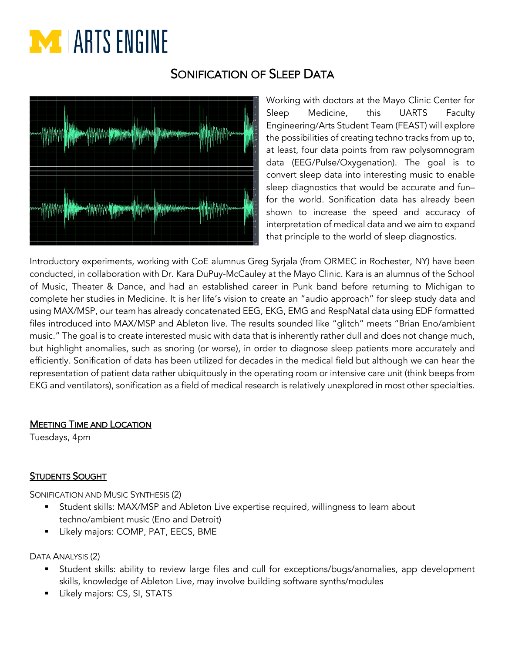# **EXT** LARTS ENGINE

## SONIFICATION OF SI FFP DATA



Working with doctors at the Mayo Clinic Center for Sleep Medicine, this UARTS Faculty Engineering/Arts Student Team (FEAST) will explore the possibilities of creating techno tracks from up to, at least, four data points from raw polysomnogram data (EEG/Pulse/Oxygenation). The goal is to convert sleep data into interesting music to enable sleep diagnostics that would be accurate and fun– for the world. Sonification data has already been shown to increase the speed and accuracy of interpretation of medical data and we aim to expand that principle to the world of sleep diagnostics.

Introductory experiments, working with CoE alumnus Greg Syrjala (from ORMEC in Rochester, NY) have been conducted, in collaboration with Dr. Kara DuPuy-McCauley at the Mayo Clinic. Kara is an alumnus of the School of Music, Theater & Dance, and had an established career in Punk band before returning to Michigan to complete her studies in Medicine. It is her life's vision to create an "audio approach" for sleep study data and using MAX/MSP, our team has already concatenated EEG, EKG, EMG and RespNatal data using EDF formatted files introduced into MAX/MSP and Ableton live. The results sounded like "glitch" meets "Brian Eno/ambient music." The goal is to create interested music with data that is inherently rather dull and does not change much, but highlight anomalies, such as snoring (or worse), in order to diagnose sleep patients more accurately and efficiently. Sonification of data has been utilized for decades in the medical field but although we can hear the representation of patient data rather ubiquitously in the operating room or intensive care unit (think beeps from EKG and ventilators), sonification as a field of medical research is relatively unexplored in most other specialties.

#### MEETING TIME AND LOCATION

Tuesdays, 4pm

### **STUDENTS SOUGHT**

SONIFICATION AND MUSIC SYNTHESIS (2)

- § Student skills: MAX/MSP and Ableton Live expertise required, willingness to learn about techno/ambient music (Eno and Detroit)
- Likely majors: COMP, PAT, EECS, BME

DATA ANALYSIS (2)

- § Student skills: ability to review large files and cull for exceptions/bugs/anomalies, app development skills, knowledge of Ableton Live, may involve building software synths/modules
- § Likely majors: CS, SI, STATS